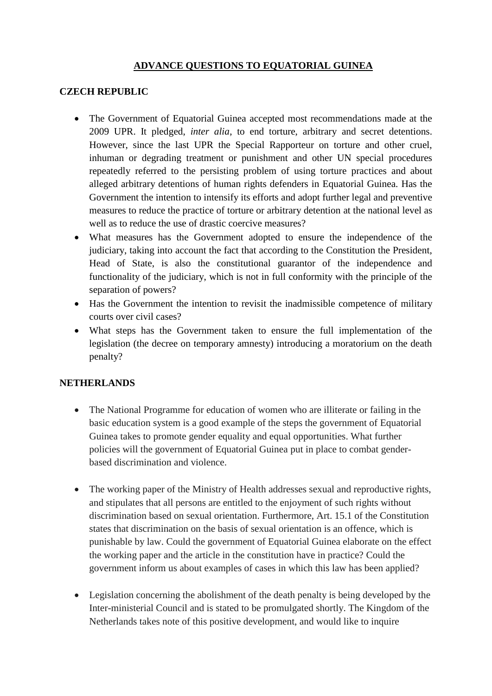# **ADVANCE QUESTIONS TO EQUATORIAL GUINEA**

#### **CZECH REPUBLIC**

- The Government of Equatorial Guinea accepted most recommendations made at the 2009 UPR. It pledged, *inter alia*, to end torture, arbitrary and secret detentions. However, since the last UPR the Special Rapporteur on torture and other cruel, inhuman or degrading treatment or punishment and other UN special procedures repeatedly referred to the persisting problem of using torture practices and about alleged arbitrary detentions of human rights defenders in Equatorial Guinea. Has the Government the intention to intensify its efforts and adopt further legal and preventive measures to reduce the practice of torture or arbitrary detention at the national level as well as to reduce the use of drastic coercive measures?
- What measures has the Government adopted to ensure the independence of the judiciary, taking into account the fact that according to the Constitution the President, Head of State, is also the constitutional guarantor of the independence and functionality of the judiciary, which is not in full conformity with the principle of the separation of powers?
- Has the Government the intention to revisit the inadmissible competence of military courts over civil cases?
- What steps has the Government taken to ensure the full implementation of the legislation (the decree on temporary amnesty) introducing a moratorium on the death penalty?

### **NETHERLANDS**

- The National Programme for education of women who are illiterate or failing in the basic education system is a good example of the steps the government of Equatorial Guinea takes to promote gender equality and equal opportunities. What further policies will the government of Equatorial Guinea put in place to combat genderbased discrimination and violence.
- The working paper of the Ministry of Health addresses sexual and reproductive rights, and stipulates that all persons are entitled to the enjoyment of such rights without discrimination based on sexual orientation. Furthermore, Art. 15.1 of the Constitution states that discrimination on the basis of sexual orientation is an offence, which is punishable by law. Could the government of Equatorial Guinea elaborate on the effect the working paper and the article in the constitution have in practice? Could the government inform us about examples of cases in which this law has been applied?
- Legislation concerning the abolishment of the death penalty is being developed by the Inter-ministerial Council and is stated to be promulgated shortly. The Kingdom of the Netherlands takes note of this positive development, and would like to inquire